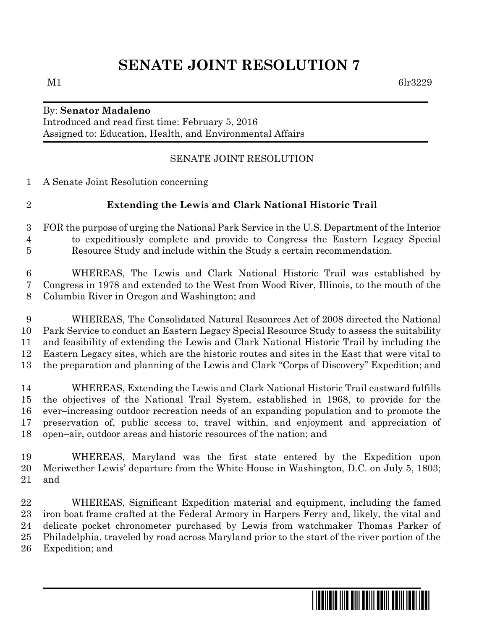# **SENATE JOINT RESOLUTION 7**

## By: **Senator Madaleno**

Introduced and read first time: February 5, 2016 Assigned to: Education, Health, and Environmental Affairs

#### SENATE JOINT RESOLUTION

A Senate Joint Resolution concerning

### **Extending the Lewis and Clark National Historic Trail**

- FOR the purpose of urging the National Park Service in the U.S. Department of the Interior to expeditiously complete and provide to Congress the Eastern Legacy Special Resource Study and include within the Study a certain recommendation.
- WHEREAS, The Lewis and Clark National Historic Trail was established by Congress in 1978 and extended to the West from Wood River, Illinois, to the mouth of the Columbia River in Oregon and Washington; and
- WHEREAS, The Consolidated Natural Resources Act of 2008 directed the National Park Service to conduct an Eastern Legacy Special Resource Study to assess the suitability and feasibility of extending the Lewis and Clark National Historic Trail by including the Eastern Legacy sites, which are the historic routes and sites in the East that were vital to the preparation and planning of the Lewis and Clark "Corps of Discovery" Expedition; and
- WHEREAS, Extending the Lewis and Clark National Historic Trail eastward fulfills the objectives of the National Trail System, established in 1968, to provide for the ever–increasing outdoor recreation needs of an expanding population and to promote the preservation of, public access to, travel within, and enjoyment and appreciation of open–air, outdoor areas and historic resources of the nation; and
- WHEREAS, Maryland was the first state entered by the Expedition upon Meriwether Lewis' departure from the White House in Washington, D.C. on July 5, 1803; and
- WHEREAS, Significant Expedition material and equipment, including the famed iron boat frame crafted at the Federal Armory in Harpers Ferry and, likely, the vital and delicate pocket chronometer purchased by Lewis from watchmaker Thomas Parker of Philadelphia, traveled by road across Maryland prior to the start of the river portion of the Expedition; and

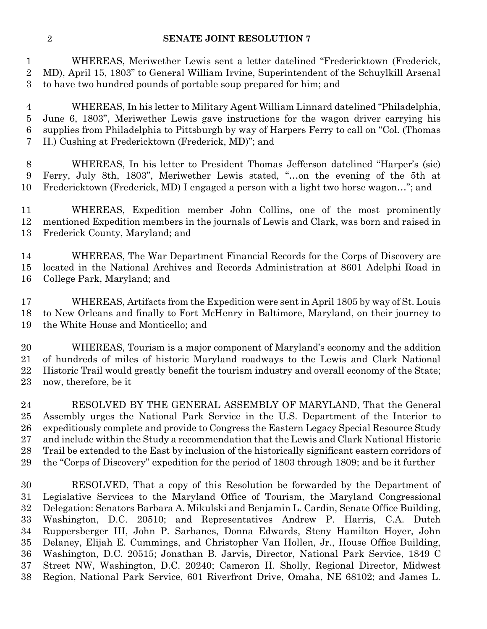#### **SENATE JOINT RESOLUTION 7**

 WHEREAS, Meriwether Lewis sent a letter datelined "Fredericktown (Frederick, MD), April 15, 1803" to General William Irvine, Superintendent of the Schuylkill Arsenal to have two hundred pounds of portable soup prepared for him; and

 WHEREAS, In his letter to Military Agent William Linnard datelined "Philadelphia, June 6, 1803", Meriwether Lewis gave instructions for the wagon driver carrying his supplies from Philadelphia to Pittsburgh by way of Harpers Ferry to call on "Col. (Thomas H.) Cushing at Fredericktown (Frederick, MD)"; and

 WHEREAS, In his letter to President Thomas Jefferson datelined "Harper's (sic) Ferry, July 8th, 1803", Meriwether Lewis stated, "…on the evening of the 5th at Fredericktown (Frederick, MD) I engaged a person with a light two horse wagon…"; and

 WHEREAS, Expedition member John Collins, one of the most prominently mentioned Expedition members in the journals of Lewis and Clark, was born and raised in Frederick County, Maryland; and

 WHEREAS, The War Department Financial Records for the Corps of Discovery are located in the National Archives and Records Administration at 8601 Adelphi Road in College Park, Maryland; and

 WHEREAS, Artifacts from the Expedition were sent in April 1805 by way of St. Louis to New Orleans and finally to Fort McHenry in Baltimore, Maryland, on their journey to the White House and Monticello; and

 WHEREAS, Tourism is a major component of Maryland's economy and the addition of hundreds of miles of historic Maryland roadways to the Lewis and Clark National Historic Trail would greatly benefit the tourism industry and overall economy of the State; now, therefore, be it

24 RESOLVED BY THE GENERAL ASSEMBLY OF MARYLAND, That the General Assembly urges the National Park Service in the U.S. Department of the Interior to expeditiously complete and provide to Congress the Eastern Legacy Special Resource Study and include within the Study a recommendation that the Lewis and Clark National Historic Trail be extended to the East by inclusion of the historically significant eastern corridors of the "Corps of Discovery" expedition for the period of 1803 through 1809; and be it further

 RESOLVED, That a copy of this Resolution be forwarded by the Department of Legislative Services to the Maryland Office of Tourism, the Maryland Congressional Delegation: Senators Barbara A. Mikulski and Benjamin L. Cardin, Senate Office Building, Washington, D.C. 20510; and Representatives Andrew P. Harris, C.A. Dutch Ruppersberger III, John P. Sarbanes, Donna Edwards, Steny Hamilton Hoyer, John Delaney, Elijah E. Cummings, and Christopher Van Hollen, Jr., House Office Building, Washington, D.C. 20515; Jonathan B. Jarvis, Director, National Park Service, 1849 C Street NW, Washington, D.C. 20240; Cameron H. Sholly, Regional Director, Midwest Region, National Park Service, 601 Riverfront Drive, Omaha, NE 68102; and James L.